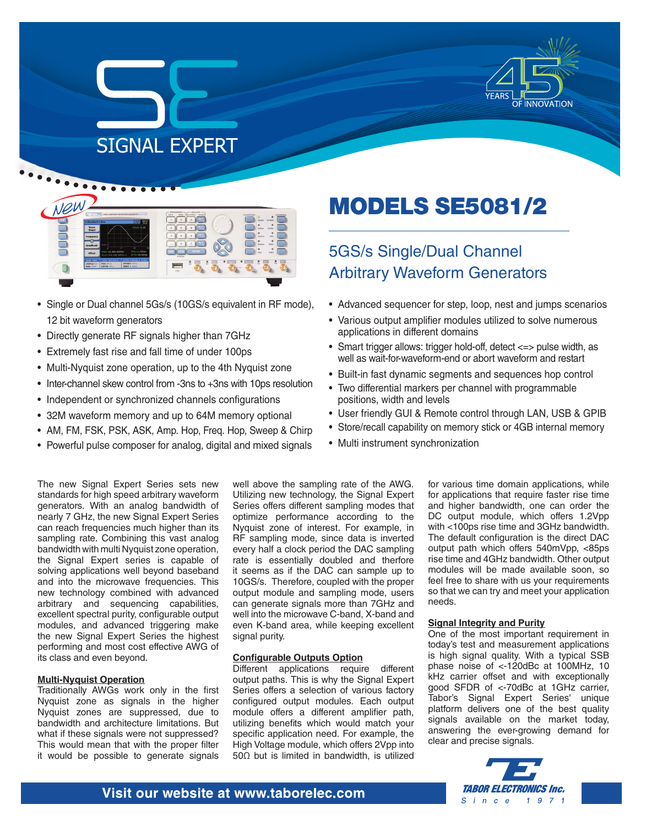

# SIGNAL EXPERT



- Single or Dual channel 5Gs/s (10GS/s equivalent in RF mode), 12 bit waveform generators
- Directly generate RF signals higher than 7GHz
- Extremely fast rise and fall time of under 100ps
- Multi-Nyquist zone operation, up to the 4th Nyquist zone
- Inter-channel skew control from -3ns to +3ns with 10ps resolution
- Independent or synchronized channels configurations
- 32M waveform memory and up to 64M memory optional
- AM, FM, FSK, PSK, ASK, Amp. Hop, Freq. Hop, Sweep & Chirp
- Powerful pulse composer for analog, digital and mixed signals

#### The new Signal Expert Series sets new standards for high speed arbitrary waveform generators. With an analog bandwidth of nearly 7 GHz, the new Signal Expert Series can reach frequencies much higher than its sampling rate. Combining this vast analog bandwidth with multi Nyquist zone operation, the Signal Expert series is capable of solving applications well beyond baseband and into the microwave frequencies. This new technology combined with advanced arbitrary and sequencing capabilities, excellent spectral purity, configurable output modules, and advanced triggering make the new Signal Expert Series the highest performing and most cost effective AWG of its class and even beyond.

#### **Multi-Nyquist Operation**

Traditionally AWGs work only in the first Nyquist zone as signals in the higher Nyquist zones are suppressed, due to bandwidth and architecture limitations. But what if these signals were not suppressed? This would mean that with the proper filter it would be possible to generate signals

well above the sampling rate of the AWG. Utilizing new technology, the Signal Expert Series offers different sampling modes that optimize performance according to the Nyquist zone of interest. For example, in RF sampling mode, since data is inverted every half a clock period the DAC sampling rate is essentially doubled and therfore it seems as if the DAC can sample up to 10GS/s. Therefore, coupled with the proper output module and sampling mode, users can generate signals more than 7GHz and well into the microwave C-band, X-band and even K-band area, while keeping excellent signal purity.

#### **Configurable Outputs Option**

Different applications require different output paths. This is why the Signal Expert Series offers a selection of various factory configured output modules. Each output module offers a different amplifier path, utilizing benefits which would match your specific application need. For example, the High Voltage module, which offers 2Vpp into 50Ω but is limited in bandwidth, is utilized

MODELS SE5081/2

## 5GS/s Single/Dual Channel Arbitrary Waveform Generators

- Advanced sequencer for step, loop, nest and jumps scenarios
- Various output amplifier modules utilized to solve numerous applications in different domains
- Smart trigger allows: trigger hold-off, detect <=> pulse width, as well as wait-for-waveform-end or abort waveform and restart
- Built-in fast dynamic segments and sequences hop control
- Two differential markers per channel with programmable positions, width and levels
- User friendly GUI & Remote control through LAN, USB & GPIB
- Store/recall capability on memory stick or 4GB internal memory
- Multi instrument synchronization

for various time domain applications, while for applications that require faster rise time and higher bandwidth, one can order the DC output module, which offers 1.2Vpp with <100ps rise time and 3GHz bandwidth. The default configuration is the direct DAC output path which offers 540mVpp, <85ps rise time and 4GHz bandwidth. Other output modules will be made available soon, so feel free to share with us your requirements so that we can try and meet your application needs.

#### **Signal Integrity and Purity**

One of the most important requirement in today's test and measurement applications is high signal quality. With a typical SSB phase noise of <-120dBc at 100MHz, 10 kHz carrier offset and with exceptionally good SFDR of <-70dBc at 1GHz carrier, Tabor's Signal Expert Series' unique platform delivers one of the best quality signals available on the market today, answering the ever-growing demand for clear and precise signals.



#### Visit our website at www.taborelec.com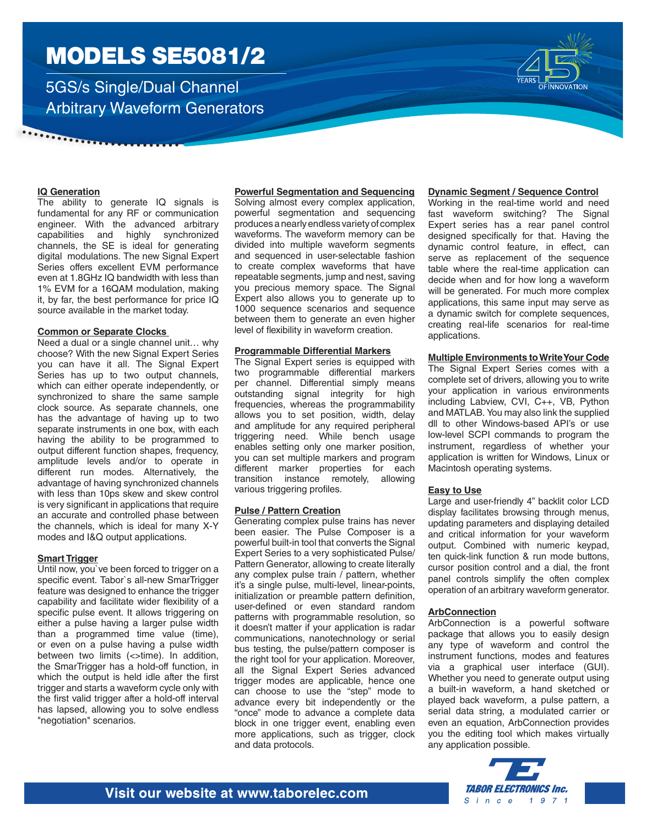5GS/s Single/Dual Channel Arbitrary Waveform Generators



#### **IQ Generation**

. . . . . . . . . . . . .

The ability to generate IQ signals is fundamental for any RF or communication engineer. With the advanced arbitrary capabilities and highly synchronized channels, the SE is ideal for generating digital modulations. The new Signal Expert Series offers excellent EVM performance even at 1.8GHz IQ bandwidth with less than 1% EVM for a 16QAM modulation, making it, by far, the best performance for price IQ source available in the market today.

#### **Common or Separate Clocks**

Need a dual or a single channel unit… why choose? With the new Signal Expert Series you can have it all. The Signal Expert Series has up to two output channels, which can either operate independently, or synchronized to share the same sample clock source. As separate channels, one has the advantage of having up to two separate instruments in one box, with each having the ability to be programmed to output different function shapes, frequency, amplitude levels and/or to operate in different run modes. Alternatively, the advantage of having synchronized channels with less than 10ps skew and skew control is very significant in applications that require an accurate and controlled phase between the channels, which is ideal for many X-Y modes and I&Q output applications.

#### **Smart Trigger**

Until now, you`ve been forced to trigger on a specific event. Tabor`s all-new SmarTrigger feature was designed to enhance the trigger capability and facilitate wider flexibility of a specific pulse event. It allows triggering on either a pulse having a larger pulse width than a programmed time value (time), or even on a pulse having a pulse width between two limits (<>time). In addition, the SmarTrigger has a hold-off function, in which the output is held idle after the first trigger and starts a waveform cycle only with the first valid trigger after a hold-off interval has lapsed, allowing you to solve endless "negotiation" scenarios.

#### **Powerful Segmentation and Sequencing**

Solving almost every complex application, powerful segmentation and sequencing produces a nearly endless variety of complex waveforms. The waveform memory can be divided into multiple waveform segments and sequenced in user-selectable fashion to create complex waveforms that have repeatable segments, jump and nest, saving you precious memory space. The Signal Expert also allows you to generate up to 1000 sequence scenarios and sequence between them to generate an even higher level of flexibility in waveform creation.

#### **Programmable Differential Markers**

The Signal Expert series is equipped with two programmable differential markers per channel. Differential simply means outstanding signal integrity for high frequencies, whereas the programmability allows you to set position, width, delay and amplitude for any required peripheral triggering need. While bench usage enables setting only one marker position, you can set multiple markers and program different marker properties for each transition instance remotely, allowing various triggering profiles.

#### **Pulse / Pattern Creation**

Generating complex pulse trains has never been easier. The Pulse Composer is a powerful built-in tool that converts the Signal Expert Series to a very sophisticated Pulse/ Pattern Generator, allowing to create literally any complex pulse train / pattern, whether it's a single pulse, multi-level, linear-points, initialization or preamble pattern definition, user-defined or even standard random patterns with programmable resolution, so it doesn't matter if your application is radar communications, nanotechnology or serial bus testing, the pulse/pattern composer is the right tool for your application. Moreover, all the Signal Expert Series advanced trigger modes are applicable, hence one can choose to use the "step" mode to advance every bit independently or the "once" mode to advance a complete data block in one trigger event, enabling even more applications, such as trigger, clock and data protocols.

#### **Dynamic Segment / Sequence Control**

Working in the real-time world and need fast waveform switching? The Signal Expert series has a rear panel control designed specifically for that. Having the dynamic control feature, in effect, can serve as replacement of the sequence table where the real-time application can decide when and for how long a waveform will be generated. For much more complex applications, this same input may serve as a dynamic switch for complete sequences, creating real-life scenarios for real-time applications.

#### **Multiple Environments to Write Your Code**

The Signal Expert Series comes with a complete set of drivers, allowing you to write your application in various environments including Labview, CVI, C++, VB, Python and MATLAB. You may also link the supplied dll to other Windows-based API's or use low-level SCPI commands to program the instrument, regardless of whether your application is written for Windows, Linux or Macintosh operating systems.

#### **Easy to Use**

Large and user-friendly 4" backlit color LCD display facilitates browsing through menus, updating parameters and displaying detailed and critical information for your waveform output. Combined with numeric keypad, ten quick-link function & run mode buttons, cursor position control and a dial, the front panel controls simplify the often complex operation of an arbitrary waveform generator.

#### **ArbConnection**

ArbConnection is a powerful software package that allows you to easily design any type of waveform and control the instrument functions, modes and features via a graphical user interface (GUI). Whether you need to generate output using a built-in waveform, a hand sketched or played back waveform, a pulse pattern, a serial data string, a modulated carrier or even an equation, ArbConnection provides you the editing tool which makes virtually any application possible.

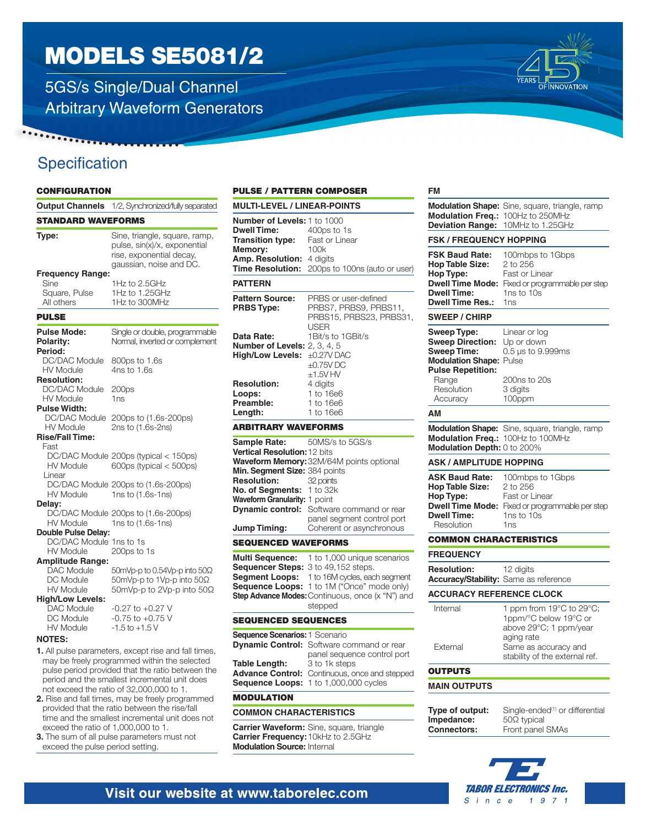5GS/s Single/Dual Channel Arbitrary Waveform Generators

## **Specification**

#### **CONFIGURATION**

 $\cdots \cdots$ 

|                                                                                    | Output Channels 1/2, Synchronized/fully separated                                                                    |
|------------------------------------------------------------------------------------|----------------------------------------------------------------------------------------------------------------------|
| <b>STANDARD WAVEFORMS</b>                                                          |                                                                                                                      |
| Type:                                                                              | Sine, triangle, square, ramp,<br>pulse, sin(x)/x, exponential<br>rise, exponential decay,<br>gaussian, noise and DC. |
| <b>Frequency Range:</b>                                                            |                                                                                                                      |
| Sine                                                                               | 1Hz to 2.5GHz                                                                                                        |
| Square, Pulse                                                                      | 1Hz to 1.25GHz                                                                                                       |
| All others                                                                         | 1Hz to 300MHz                                                                                                        |
| <b>PULSE</b>                                                                       |                                                                                                                      |
| Pulse Mode:<br>Polarity:<br>Period:                                                | Single or double, programmable<br>Normal, inverted or complement                                                     |
| DC/DAC Module<br><b>HV Module</b>                                                  | 800ps to 1.6s<br>4ns to 1.6s                                                                                         |
| <b>Resolution:</b><br>DC/DAC Module<br>HV Module                                   | 200 <sub>ps</sub><br>1 <sub>ns</sub>                                                                                 |
| <b>Pulse Width:</b><br>DC/DAC Module<br><b>HV Module</b><br><b>Rise/Fall Time:</b> | 200ps to (1.6s-200ps)<br>2ns to (1.6s-2ns)                                                                           |
| Fast                                                                               |                                                                                                                      |
| HV Module                                                                          | DC/DAC Module 200ps (typical < 150ps)<br>600ps (typical $<$ 500ps)                                                   |
| I inear<br>HV Module                                                               | DC/DAC Module 200ps to (1.6s-200ps)<br>1ns to (1.6s-1ns)                                                             |
| Delay:<br><b>HV Module</b>                                                         | DC/DAC Module 200ps to (1.6s-200ps)<br>1ns to (1.6s-1ns)                                                             |
| Double Pulse Delay:                                                                |                                                                                                                      |
| DC/DAC Module 1ns to 1s<br><b>HV Module</b>                                        | 200ps to 1s                                                                                                          |
| <b>Amplitude Range:</b><br><b>DAC Module</b>                                       | 50mVp-p to 0.54Vp-p into 50Ω                                                                                         |
| DC Module                                                                          | 50mVp-p to 1Vp-p into 50Ω                                                                                            |
| <b>HV Module</b>                                                                   | 50mVp-p to 2Vp-p into 50Ω                                                                                            |
| <b>High/Low Levels:</b>                                                            |                                                                                                                      |
| <b>DAC Module</b>                                                                  | -0.27 to +0.27 V                                                                                                     |
| DC Module                                                                          | $-0.75$ to $+0.75$ V                                                                                                 |
| <b>HV Module</b>                                                                   | $-1.5$ to $+1.5$ V                                                                                                   |
| <b>NOTES:</b>                                                                      |                                                                                                                      |
|                                                                                    | 1. All pulse parameters, except rise and fall times,                                                                 |
|                                                                                    | may be freely programmed within the selected<br>pulse period provided that the ratio between the                     |

- pulse period provided that the ratio between the period and the smallest incremental unit does not exceed the ratio of 32,000,000 to 1. **2.** Rise and fall times, may be freely programmed
- provided that the ratio between the rise/fall time and the smallest incremental unit does not exceed the ratio of 1,000,000 to 1.
- **3.** The sum of all pulse parameters must not exceed the pulse period setting.

#### PULSE / PATTERN COMPOSER

| <b>MULTI-LEVEL / LINEAR-POINTS</b>                                                                                   |                                                                                         |
|----------------------------------------------------------------------------------------------------------------------|-----------------------------------------------------------------------------------------|
| <b>Number of Levels: 1 to 1000</b><br><b>Dwell Time:</b><br>Transition type:<br>Memory:<br>Amp. Resolution: 4 digits | 400ps to 1s<br>Fast or Linear<br>100k<br>Time Resolution: 200ps to 100ns (auto or user) |
| <b>PATTERN</b>                                                                                                       |                                                                                         |
| <b>Pattern Source:</b><br><b>PRBS Type:</b>                                                                          | PRBS or user-defined<br>PRBS7, PRBS9, PRBS11,<br>PRBS15, PRBS23, PRBS31,<br><b>USER</b> |
| Data Rate:                                                                                                           | 1Bit/s to 1GBit/s                                                                       |
| <b>Number of Levels: 2, 3, 4, 5</b>                                                                                  |                                                                                         |
| High/Low Levels: ±0.27V DAC                                                                                          | $\pm 0.75V$ DC<br>$+1.5V$ HV                                                            |
| <b>Resolution:</b>                                                                                                   | 4 digits                                                                                |
| Loops:                                                                                                               | 1 to 16e6                                                                               |
| Preamble:                                                                                                            | 1 to 16e6                                                                               |
| Length:                                                                                                              | 1 to 16e6                                                                               |
| <b>ARBITRARY WAVEFORMS</b>                                                                                           |                                                                                         |
| Sample Rate:                                                                                                         | 50MS/s to 5GS/s                                                                         |
| Vertical Resolution: 12 bits                                                                                         |                                                                                         |
|                                                                                                                      | Waveform Memory: 32M/64M points optional                                                |
| Min. Segment Size: 384 points<br><b>Resolution:</b>                                                                  | 32 points                                                                               |
| No. of Segments: 1 to 32k                                                                                            |                                                                                         |
| Waveform Granularity: 1 point                                                                                        |                                                                                         |
|                                                                                                                      | <b>Dynamic control:</b> Software command or rear                                        |
|                                                                                                                      | panel segment control port                                                              |
| Jump Timing:                                                                                                         | Coherent or asynchronous                                                                |
| <b>SEQUENCED WAVEFORMS</b>                                                                                           |                                                                                         |

**Multi Sequence:** 1 to 1,000 unique scenarios **Sequencer Steps:** 3 to 49,152 steps. **Segment Loops:** 1 to 16M cycles, each segment **Sequence Loops:** 1 to 1M ("Once" mode only) **Step Advance Modes: Continuous, once (x "N") and** stepped

#### SEQUENCED SEQUENCES **Sequence Scenarios:**1 Scenario **Dynamic Control:** Software command or rear panel sequence control port **Table Length:** 3 to 1k steps

**Advance Control:** Continuous, once and stepped **Sequence Loops:** 1 to 1,000,000 cycles

#### MODULATION

#### **COMMON CHARACTERISTICS**

**Carrier Waveform:** Sine, square, triangle **Carrier Frequency:**10kHz to 2.5GHz **Modulation Source:** Internal

| FM                                                                                                                                                             |                                                                                                                                                     |
|----------------------------------------------------------------------------------------------------------------------------------------------------------------|-----------------------------------------------------------------------------------------------------------------------------------------------------|
| <b>Modulation Freq.:</b><br><b>Deviation Range:</b>                                                                                                            | <b>Modulation Shape:</b> Sine, square, triangle, ramp<br>100Hz to 250MHz<br>10MHz to 1.25GHz                                                        |
| <b>FSK / FREQUENCY HOPPING</b>                                                                                                                                 |                                                                                                                                                     |
| <b>FSK Baud Rate:</b><br><b>Hop Table Size:</b><br>Hop Type:<br><b>Dwell Time Mode:</b><br><b>Dwell Time:</b><br><b>Dwell Time Res.:</b>                       | 100mbps to 1Gbps<br>2 to 256<br>Fast or Linear<br>Fixed or programmable per step<br>1ns to 10s<br>1 <sub>ns</sub>                                   |
| <b>SWEEP / CHIRP</b>                                                                                                                                           |                                                                                                                                                     |
| <b>Sweep Type:</b><br><b>Sweep Direction:</b><br><b>Sweep Time:</b><br><b>Modulation Shape:</b><br><b>Pulse Repetition:</b><br>Range<br>Resolution<br>Accuracy | Linear or log<br>Up or down<br>0.5 µs to 9.999ms<br>Pulse<br>200ns to 20s<br>3 digits<br>100ppm                                                     |
| AM                                                                                                                                                             |                                                                                                                                                     |
| Modulation Freq.: 100Hz to 100MHz<br>Modulation Depth: 0 to 200%                                                                                               | Modulation Shape: Sine, square, triangle, ramp                                                                                                      |
| <b>ASK / AMPLITUDE HOPPING</b>                                                                                                                                 |                                                                                                                                                     |
| <b>ASK Baud Rate:</b><br><b>Hop Table Size:</b><br>Hop Type:<br><b>Dwell Time Mode:</b><br><b>Dwell Time:</b><br>Resolution                                    | 100mbps to 1Gbps<br>2 to 256<br>Fast or Linear<br>Fixed or programmable per step<br>1ns to 10s<br>1ns                                               |
| <b>COMMON CHARACTERISTICS</b>                                                                                                                                  |                                                                                                                                                     |
| <b>FREQUENCY</b>                                                                                                                                               |                                                                                                                                                     |
| <b>Resolution:</b><br>Accuracy/Stability: Same as reference                                                                                                    | 12 digits                                                                                                                                           |
| <b>ACCURACY REFERENCE CLOCK</b>                                                                                                                                |                                                                                                                                                     |
| Internal<br>External                                                                                                                                           | 1 ppm from 19°C to 29°C;<br>1ppm/°C below 19°C or<br>above 29°C; 1 ppm/year<br>aging rate<br>Same as accuracy and<br>stability of the external ref. |
| <b>OUTPUTS</b>                                                                                                                                                 |                                                                                                                                                     |
| <b>MAIN OUTPUTS</b>                                                                                                                                            |                                                                                                                                                     |
| Type of output:<br>Impedance:<br><b>Connectors:</b>                                                                                                            | Single-ended <sup>(1)</sup> or differential<br>50 $\Omega$ typical<br>Front panel SMAs                                                              |
|                                                                                                                                                                |                                                                                                                                                     |



### Visit our website at www.taborelec.com

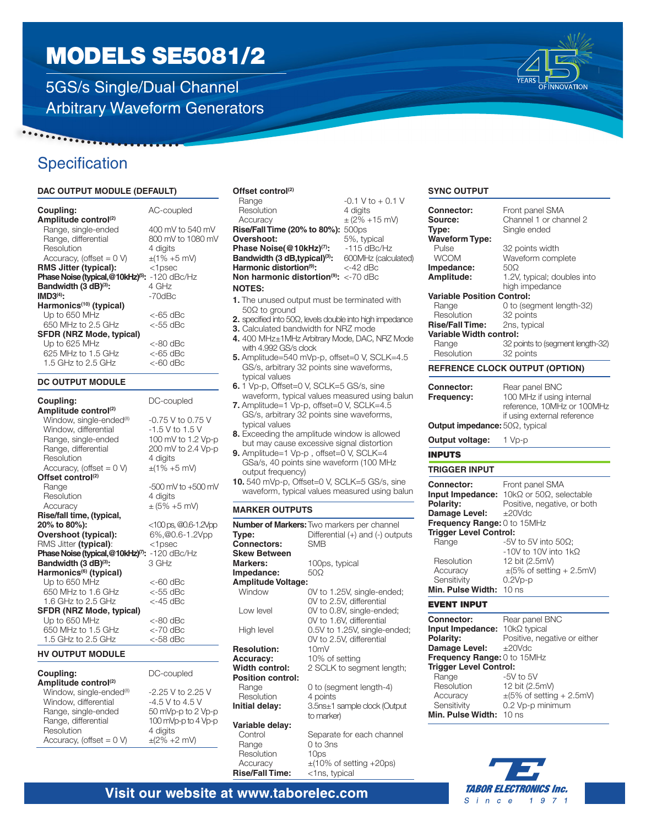5GS/s Single/Dual Channel Arbitrary Waveform Generators



### **Specification**

 $\cdots \cdots$ 

#### **DAC OUTPUT MODULE (DEFAULT)**

| Coupling:                                      | AC-coupled          |
|------------------------------------------------|---------------------|
| Amplitude control <sup>(2)</sup>               |                     |
| Range, single-ended                            | 400 mV to 540 mV    |
| Range, differential                            | 800 mV to 1080 mV   |
| Resolution                                     | 4 digits            |
| Accuracy, (offset $= 0$ V)                     | $\pm$ (1% +5 mV)    |
| <b>RMS Jitter (typical):</b>                   | $<$ 1 $psec$        |
| Phase Noise (typical, @10kHz) <sup>(5)</sup> : | $-120$ dBc/Hz       |
| Bandwidth (3 dB)(3):                           | 4 GHz               |
| $IMD3(4)$ :                                    | $-70$ d $Bc$        |
| Harmonics <sup>(10)</sup> (typical)            |                     |
| Up to 650 MHz                                  | <-65 dBc            |
| 650 MHz to 2.5 GHz                             | $<$ -55 d $\rm{Bc}$ |
| <b>SFDR (NRZ Mode, typical)</b>                |                     |
| Up to 625 MHz                                  | <-80 dBc            |
| 625 MHz to 1.5 GHz                             | <-65 dBc            |
| 1.5 GHz to 2.5 GHz                             | $<$ -60 dBc         |

#### **DC OUTPUT MODULE**

| Coupling:                                                   | DC-coupled                               |
|-------------------------------------------------------------|------------------------------------------|
| Amplitude control <sup>(2)</sup>                            |                                          |
| Window, single-ended <sup>(8)</sup><br>Window, differential | $-0.75$ V to 0.75 V<br>$-1.5$ V to 1.5 V |
| Range, single-ended                                         | 100 mV to 1.2 Vp-p                       |
| Range, differential                                         | 200 mV to 2.4 Vp-p                       |
| Resolution                                                  | 4 digits                                 |
| Accuracy, (offset = $0 V$ )                                 | $\pm$ (1% +5 mV)                         |
| Offset control <sup>(2)</sup>                               |                                          |
| Range                                                       | $-500$ mV to $+500$ mV                   |
| Resolution                                                  | 4 digits                                 |
| Accuracy                                                    | $\pm$ (5% +5 mV)                         |
| Rise/fall time, (typical,                                   |                                          |
| 20% to 80%):                                                | $<$ 100 ps, $@0.6$ -1.2Vpp               |
| Overshoot (typical):                                        | 6%,@0.6-1.2Vpp                           |
| RMS Jitter (typical):                                       | $<$ 1 $psec$                             |
| Phase Noise (typical, @10kHz) <sup>7</sup> :                | $-120$ dBc/Hz                            |
| Bandwidth (3 dB) <sup>(3)</sup> :                           | $3$ GHz                                  |
| Harmonics <sup>(6)</sup> (typical)                          |                                          |
| Up to 650 MHz                                               | <-60 dBc                                 |
| 650 MHz to 1.6 GHz                                          | <-55 dBc                                 |
| 1.6 GHz to 2.5 GHz                                          | $<$ -45 d $Bc$                           |
| <b>SFDR (NRZ Mode, typical)</b>                             |                                          |
| Up to 650 MHz                                               | <-80 dBc                                 |
| 650 MHz to 1.5 GHz                                          | <-70 dBc                                 |
| 1.5 GHz to 2.5 GHz                                          | <-58 dBc                                 |

#### **HV OUTPUT MODULE**

| <b>Coupling:</b> |  |  |  |  |
|------------------|--|--|--|--|
| A  . 114 1 .     |  |  |  |  |

| Amplitude control <sup>(2)</sup>    |
|-------------------------------------|
| Window, single-ended <sup>®</sup>   |
| Window, differential                |
| Range, single-ended                 |
| Range, differential                 |
| Resolution                          |
| Accuracy, (offset = $0 \text{ V}$ ) |

### **Offset control**<sup>(2)</sup><br>Range

Resolution 4 digits<br>Accuracy  $\pm (2\% +$ **Rise/Fall Time (20% to 80%):** 500ps<br>**Overshoot:** 5%, typical **Overshoot:** 5%, typical<br>**Phase Noise(@10kHz)<sup>(7)</sup>:** -115 dBc/Hz **Phase Noise(@10kHz)<sup>(7)</sup>:** -115 dBc/Hz<br>**Bandwidth (3 dB,typical)<sup>(3)</sup>:** 600MHz (calculated) **Bandwidth (3 dB,typical)<sup>(3)</sup>:** 600MHz (calculated) **Harmonic distortion<sup>(9)</sup>:** <-42 dBc **Harmonic distortion<sup>(9)</sup>: Non harmonic distortion(9):** <-70 dBc

#### **NOTES:**

- **1.** The unused output must be terminated with 50Ω to ground
- **2.** specified into 50Ω, levels double into high impedance

 $-0.1 V$  to  $+ 0.1 V$ 

 $\pm$  (2% +15 mV)

- **3.** Calculated bandwidth for NRZ mode
- **4.** 400 MHz±1MHz Arbitrary Mode, DAC, NRZ Mode with 4.992 GS/s clock
- **5.** Amplitude=540 mVp-p, offset=0 V, SCLK=4.5 GS/s, arbitrary 32 points sine waveforms, typical values
- **6.** 1 Vp-p, Offset=0 V, SCLK=5 GS/s, sine waveform, typical values measured using balun
- **7.** Amplitude=1 Vp-p, offset=0 V, SCLK=4.5 GS/s, arbitrary 32 points sine waveforms, typical values
- **8.** Exceeding the amplitude window is allowed but may cause excessive signal distortion
- **9.** Amplitude=1 Vp-p , offset=0 V, SCLK=4 GSa/s, 40 points sine waveform (100 MHz output frequency)
- **10.** 540 mVp-p, Offset=0 V, SCLK=5 GS/s, sine waveform, typical values measured using balun

#### **MARKER OUTPUTS**

|                           | <b>Number of Markers: Two markers per channel</b> |
|---------------------------|---------------------------------------------------|
| Type:                     | Differential (+) and (-) outputs                  |
| <b>Connectors:</b>        | <b>SMB</b>                                        |
| <b>Skew Between</b>       |                                                   |
| Markers:                  | 100ps, typical                                    |
| Impedance:                | $50\Omega$                                        |
| <b>Amplitude Voltage:</b> |                                                   |
| Window                    | OV to 1.25V, single-ended;                        |
|                           | OV to 2.5V, differential                          |
| I ow level                | OV to 0.8V, single-ended;                         |
|                           | OV to 1.6V, differential                          |
| High level                | 0.5V to 1.25V, single-ended;                      |
|                           | OV to 2.5V, differential                          |
| <b>Resolution:</b>        | 10mV                                              |
| <b>Accuracy:</b>          | 10% of setting                                    |
| <b>Width control:</b>     | 2 SCLK to segment length;                         |
| <b>Position control:</b>  |                                                   |
| Range                     | 0 to (segment length-4)                           |
| Resolution                | 4 points                                          |
| Initial delay:            | 3.5ns±1 sample clock (Output                      |
|                           | to marker)                                        |
| Variable delay:           |                                                   |
| Control                   | Separate for each channel                         |
| Range                     | 0 to 3ns                                          |
| Resolution                | 10ps                                              |
| Accuracy                  | $\pm$ (10% of setting +20ps)                      |
| <b>Rise/Fall Time:</b>    | <1ns, typical                                     |

#### **SYNC OUTPUT**

| <b>Connector:</b>                     | Front panel SMA                       |
|---------------------------------------|---------------------------------------|
| Source:                               | Channel 1 or channel 2                |
| Type:                                 | Single ended                          |
| <b>Waveform Type:</b>                 |                                       |
| Pulse                                 | 32 points width                       |
| <b>WCOM</b>                           | Waveform complete                     |
| Impedance:                            | 50Ω                                   |
| Amplitude:                            | 1.2V, typical; doubles into           |
|                                       | high impedance                        |
| <b>Variable Position Control:</b>     |                                       |
| Range                                 | 0 to (segment length-32)              |
| Resolution                            | 32 points                             |
| <b>Rise/Fall Time:</b>                | 2ns, typical                          |
| Variable Width control:               |                                       |
| Range                                 | 32 points to (segment length-32)      |
| Resolution                            | 32 points                             |
|                                       |                                       |
|                                       | <b>REFRENCE CLOCK OUTPUT (OPTION)</b> |
| <b>Connector:</b>                     | Rear panel BNC                        |
| Frequency:                            | 100 MHz if using internal             |
|                                       | reference, 10MHz or 100MHz            |
|                                       | if using external reference           |
| <b>Output impedance:</b> 50Ω, typical |                                       |
|                                       |                                       |
| Output voltage:                       | 1 Vp-p                                |
| <b>INPUTS</b>                         |                                       |
| TRIGGER INPUT                         |                                       |
| <b>Connector:</b>                     | Front panel SMA                       |
| Input Impedance:                      | 10kΩ or 50Ω, selectable               |
| Polarity:                             | Positive, negative, or both           |
| Damage Level:                         | $\pm 20$ Vdc                          |
| Frequency Range: 0 to 15MHz           |                                       |
| <b>Trigger Level Control:</b>         |                                       |
| Range                                 | -5V to 5V into 50 $\Omega$ ;          |
|                                       | -10V to 10V into 1kΩ                  |
| Resolution                            | 12 bit (2.5mV)                        |
| Accuracy                              | $\pm$ (5% of setting + 2.5mV)         |
|                                       | $0.2Vp-p$                             |
| Sensitivity                           |                                       |
| Min. Pulse Width:                     | 10 <sub>ns</sub>                      |
| <b>EVENT INPUT</b>                    |                                       |
| <b>Connector:</b>                     | Rear panel BNC                        |
| Input Impedance:                      | $10k\Omega$ typical                   |
| Polarity:                             | Positive, negative or either          |
| Damage Level:                         | ±20Vdc                                |
| Frequency Range: 0 to 15MHz           |                                       |
|                                       |                                       |

| Frequency Range: 0 to 15MHz   |                               |
|-------------------------------|-------------------------------|
| <b>Trigger Level Control:</b> |                               |
| Range                         | -5V to 5V                     |
| Resolution                    | 12 bit (2.5mV)                |
| Accuracy                      | $\pm$ (5% of setting + 2.5mV) |
| Sensitivity                   | 0.2 Vp-p minimum              |
| Min. Pulse Width: 10 ns       |                               |
|                               |                               |



### Visit our website at www.taborelec.com

DC-coupled

4 digits  $\pm (2\% + 2 \text{ mV})$ 

-2.25 V to 2.25 V  $-4.5$  V to 4.5 V 50 mVp-p to 2 Vp-p 100 mVp-p to 4 Vp-p